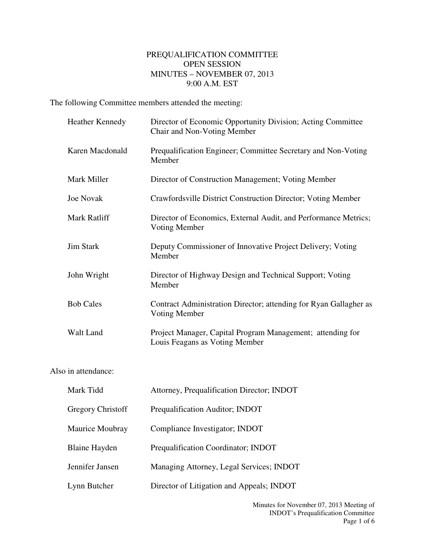## PREQUALIFICATION COMMITTEE OPEN SESSION MINUTES – NOVEMBER 07, 2013 9:00 A.M. EST

The following Committee members attended the meeting:

|                     | <b>Heather Kennedy</b> | Director of Economic Opportunity Division; Acting Committee<br>Chair and Non-Voting Member   |
|---------------------|------------------------|----------------------------------------------------------------------------------------------|
|                     | Karen Macdonald        | Prequalification Engineer; Committee Secretary and Non-Voting<br>Member                      |
|                     | Mark Miller            | Director of Construction Management; Voting Member                                           |
|                     | <b>Joe Novak</b>       | Crawfordsville District Construction Director; Voting Member                                 |
|                     | Mark Ratliff           | Director of Economics, External Audit, and Performance Metrics;<br>Voting Member             |
|                     | <b>Jim Stark</b>       | Deputy Commissioner of Innovative Project Delivery; Voting<br>Member                         |
|                     | John Wright            | Director of Highway Design and Technical Support; Voting<br>Member                           |
|                     | <b>Bob Cales</b>       | Contract Administration Director; attending for Ryan Gallagher as<br>Voting Member           |
|                     | Walt Land              | Project Manager, Capital Program Management; attending for<br>Louis Feagans as Voting Member |
| Also in attendance: |                        |                                                                                              |
|                     | Mark Tidd              | Attorney, Prequalification Director; INDOT                                                   |
|                     | Gregory Christoff      | Prequalification Auditor; INDOT                                                              |
|                     | Maurice Moubray        | Compliance Investigator; INDOT                                                               |
|                     | <b>Blaine Hayden</b>   | Prequalification Coordinator; INDOT                                                          |
|                     | Jennifer Jansen        | Managing Attorney, Legal Services; INDOT                                                     |
|                     | Lynn Butcher           | Director of Litigation and Appeals; INDOT                                                    |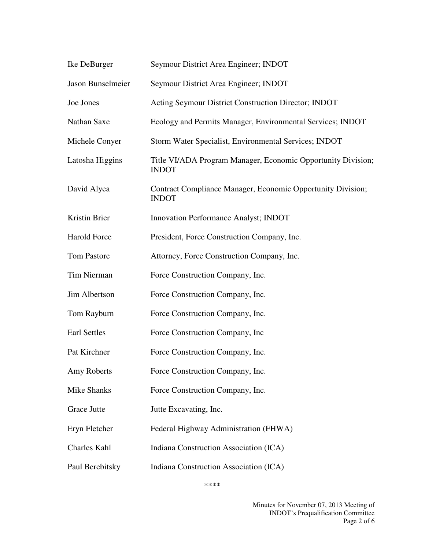| Ike DeBurger       | Seymour District Area Engineer; INDOT                                        |
|--------------------|------------------------------------------------------------------------------|
| Jason Bunselmeier  | Seymour District Area Engineer; INDOT                                        |
| Joe Jones          | Acting Seymour District Construction Director; INDOT                         |
| Nathan Saxe        | Ecology and Permits Manager, Environmental Services; INDOT                   |
| Michele Conyer     | Storm Water Specialist, Environmental Services; INDOT                        |
| Latosha Higgins    | Title VI/ADA Program Manager, Economic Opportunity Division;<br><b>INDOT</b> |
| David Alyea        | Contract Compliance Manager, Economic Opportunity Division;<br><b>INDOT</b>  |
| Kristin Brier      | Innovation Performance Analyst; INDOT                                        |
| Harold Force       | President, Force Construction Company, Inc.                                  |
| <b>Tom Pastore</b> | Attorney, Force Construction Company, Inc.                                   |
| Tim Nierman        | Force Construction Company, Inc.                                             |
| Jim Albertson      | Force Construction Company, Inc.                                             |
| Tom Rayburn        | Force Construction Company, Inc.                                             |
| Earl Settles       | Force Construction Company, Inc.                                             |
| Pat Kirchner       | Force Construction Company, Inc.                                             |
| Amy Roberts        | Force Construction Company, Inc.                                             |
| Mike Shanks        | Force Construction Company, Inc.                                             |
| Grace Jutte        | Jutte Excavating, Inc.                                                       |
| Eryn Fletcher      | Federal Highway Administration (FHWA)                                        |
| Charles Kahl       | Indiana Construction Association (ICA)                                       |
| Paul Berebitsky    | Indiana Construction Association (ICA)                                       |

\*\*\*\*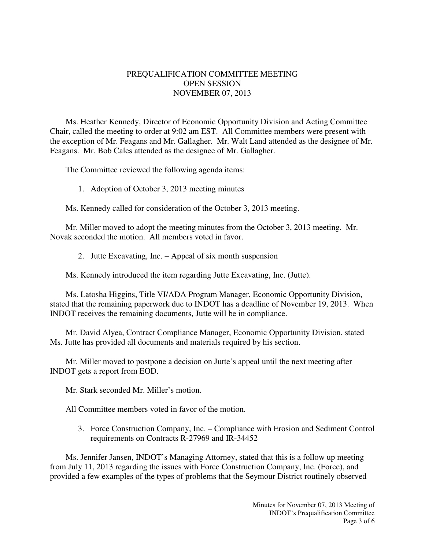## PREQUALIFICATION COMMITTEE MEETING OPEN SESSION NOVEMBER 07, 2013

Ms. Heather Kennedy, Director of Economic Opportunity Division and Acting Committee Chair, called the meeting to order at 9:02 am EST. All Committee members were present with the exception of Mr. Feagans and Mr. Gallagher. Mr. Walt Land attended as the designee of Mr. Feagans. Mr. Bob Cales attended as the designee of Mr. Gallagher.

The Committee reviewed the following agenda items:

1. Adoption of October 3, 2013 meeting minutes

Ms. Kennedy called for consideration of the October 3, 2013 meeting.

Mr. Miller moved to adopt the meeting minutes from the October 3, 2013 meeting. Mr. Novak seconded the motion. All members voted in favor.

2. Jutte Excavating, Inc. – Appeal of six month suspension

Ms. Kennedy introduced the item regarding Jutte Excavating, Inc. (Jutte).

Ms. Latosha Higgins, Title VI/ADA Program Manager, Economic Opportunity Division, stated that the remaining paperwork due to INDOT has a deadline of November 19, 2013. When INDOT receives the remaining documents, Jutte will be in compliance.

Mr. David Alyea, Contract Compliance Manager, Economic Opportunity Division, stated Ms. Jutte has provided all documents and materials required by his section.

Mr. Miller moved to postpone a decision on Jutte's appeal until the next meeting after INDOT gets a report from EOD.

Mr. Stark seconded Mr. Miller's motion.

All Committee members voted in favor of the motion.

3. Force Construction Company, Inc. – Compliance with Erosion and Sediment Control requirements on Contracts R-27969 and IR-34452

Ms. Jennifer Jansen, INDOT's Managing Attorney, stated that this is a follow up meeting from July 11, 2013 regarding the issues with Force Construction Company, Inc. (Force), and provided a few examples of the types of problems that the Seymour District routinely observed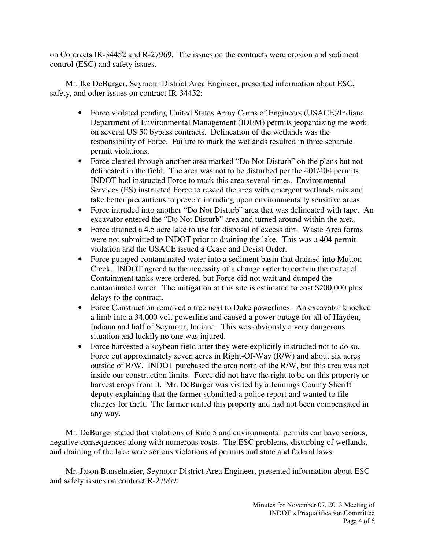on Contracts IR-34452 and R-27969. The issues on the contracts were erosion and sediment control (ESC) and safety issues.

Mr. Ike DeBurger, Seymour District Area Engineer, presented information about ESC, safety, and other issues on contract IR-34452:

- Force violated pending United States Army Corps of Engineers (USACE)/Indiana Department of Environmental Management (IDEM) permits jeopardizing the work on several US 50 bypass contracts. Delineation of the wetlands was the responsibility of Force. Failure to mark the wetlands resulted in three separate permit violations.
- Force cleared through another area marked "Do Not Disturb" on the plans but not delineated in the field. The area was not to be disturbed per the 401/404 permits. INDOT had instructed Force to mark this area several times. Environmental Services (ES) instructed Force to reseed the area with emergent wetlands mix and take better precautions to prevent intruding upon environmentally sensitive areas.
- Force intruded into another "Do Not Disturb" area that was delineated with tape. An excavator entered the "Do Not Disturb" area and turned around within the area.
- Force drained a 4.5 acre lake to use for disposal of excess dirt. Waste Area forms were not submitted to INDOT prior to draining the lake. This was a 404 permit violation and the USACE issued a Cease and Desist Order.
- Force pumped contaminated water into a sediment basin that drained into Mutton Creek. INDOT agreed to the necessity of a change order to contain the material. Containment tanks were ordered, but Force did not wait and dumped the contaminated water. The mitigation at this site is estimated to cost \$200,000 plus delays to the contract.
- Force Construction removed a tree next to Duke powerlines. An excavator knocked a limb into a 34,000 volt powerline and caused a power outage for all of Hayden, Indiana and half of Seymour, Indiana. This was obviously a very dangerous situation and luckily no one was injured.
- Force harvested a soybean field after they were explicitly instructed not to do so. Force cut approximately seven acres in Right-Of-Way (R/W) and about six acres outside of R/W. INDOT purchased the area north of the R/W, but this area was not inside our construction limits. Force did not have the right to be on this property or harvest crops from it. Mr. DeBurger was visited by a Jennings County Sheriff deputy explaining that the farmer submitted a police report and wanted to file charges for theft. The farmer rented this property and had not been compensated in any way.

Mr. DeBurger stated that violations of Rule 5 and environmental permits can have serious, negative consequences along with numerous costs. The ESC problems, disturbing of wetlands, and draining of the lake were serious violations of permits and state and federal laws.

Mr. Jason Bunselmeier, Seymour District Area Engineer, presented information about ESC and safety issues on contract R-27969: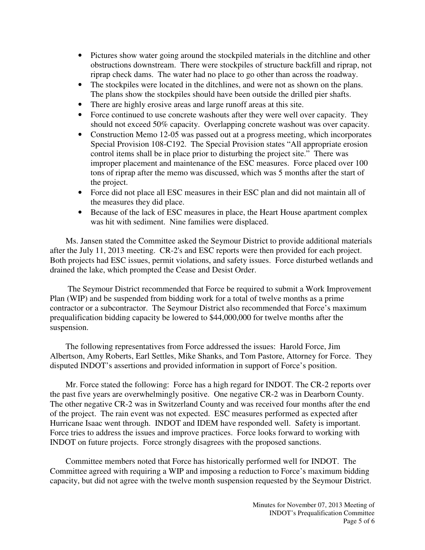- Pictures show water going around the stockpiled materials in the ditchline and other obstructions downstream. There were stockpiles of structure backfill and riprap, not riprap check dams. The water had no place to go other than across the roadway.
- The stockpiles were located in the ditchlines, and were not as shown on the plans. The plans show the stockpiles should have been outside the drilled pier shafts.
- There are highly erosive areas and large runoff areas at this site.
- Force continued to use concrete washouts after they were well over capacity. They should not exceed 50% capacity. Overlapping concrete washout was over capacity.
- Construction Memo 12-05 was passed out at a progress meeting, which incorporates Special Provision 108-C192. The Special Provision states "All appropriate erosion control items shall be in place prior to disturbing the project site." There was improper placement and maintenance of the ESC measures. Force placed over 100 tons of riprap after the memo was discussed, which was 5 months after the start of the project.
- Force did not place all ESC measures in their ESC plan and did not maintain all of the measures they did place.
- Because of the lack of ESC measures in place, the Heart House apartment complex was hit with sediment. Nine families were displaced.

Ms. Jansen stated the Committee asked the Seymour District to provide additional materials after the July 11, 2013 meeting. CR-2's and ESC reports were then provided for each project. Both projects had ESC issues, permit violations, and safety issues. Force disturbed wetlands and drained the lake, which prompted the Cease and Desist Order.

 The Seymour District recommended that Force be required to submit a Work Improvement Plan (WIP) and be suspended from bidding work for a total of twelve months as a prime contractor or a subcontractor. The Seymour District also recommended that Force's maximum prequalification bidding capacity be lowered to \$44,000,000 for twelve months after the suspension.

The following representatives from Force addressed the issues: Harold Force, Jim Albertson, Amy Roberts, Earl Settles, Mike Shanks, and Tom Pastore, Attorney for Force. They disputed INDOT's assertions and provided information in support of Force's position.

Mr. Force stated the following: Force has a high regard for INDOT. The CR-2 reports over the past five years are overwhelmingly positive. One negative CR-2 was in Dearborn County. The other negative CR-2 was in Switzerland County and was received four months after the end of the project. The rain event was not expected. ESC measures performed as expected after Hurricane Isaac went through. INDOT and IDEM have responded well. Safety is important. Force tries to address the issues and improve practices. Force looks forward to working with INDOT on future projects. Force strongly disagrees with the proposed sanctions.

Committee members noted that Force has historically performed well for INDOT. The Committee agreed with requiring a WIP and imposing a reduction to Force's maximum bidding capacity, but did not agree with the twelve month suspension requested by the Seymour District.